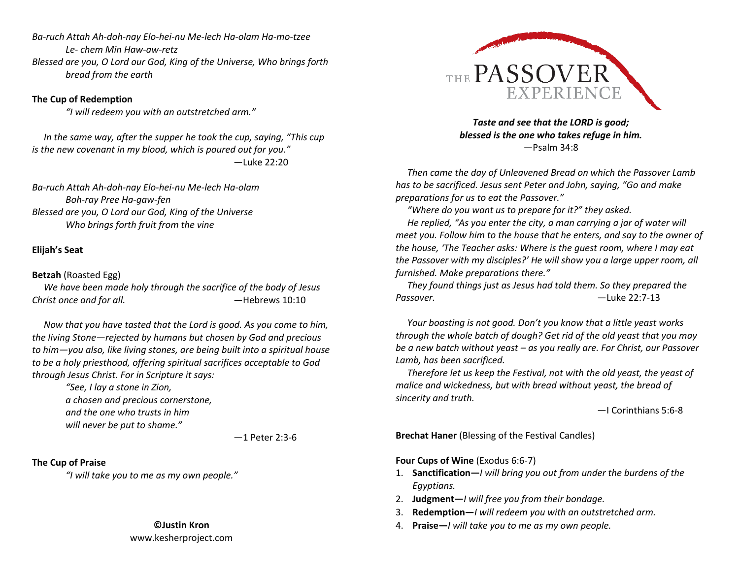*Ba-ruch Attah Ah-doh-nay Elo-hei-nu Me-lech Ha-olam Ha-mo-tzee Le- chem Min Haw-aw-retz Blessed are you, O Lord our God, King of the Universe, Who brings forth bread from the earth* 

### **The Cup of Redemption**

*"I will redeem you with an outstretched arm."* 

 *In the same way, after the supper he took the cup, saying, "This cup is the new covenant in my blood, which is poured out for you."*  —Luke 22:20

*Ba-ruch Attah Ah-doh-nay Elo-hei-nu Me-lech Ha-olam Boh-ray Pree Ha-gaw-fen Blessed are you, O Lord our God, King of the Universe Who brings forth fruit from the vine* 

## **Elijah's Seat**

### **Betzah** (Roasted Egg)

 *We have been made holy through the sacrifice of the body of Jesus Christ once and for all.* —Hebrews 10:10

 *Now that you have tasted that the Lord is good. As you come to him, the living Stone—rejected by humans but chosen by God and precious to him—you also, like living stones, are being built into a spiritual house to be a holy priesthood, offering spiritual sacrifices acceptable to God through Jesus Christ. For in Scripture it says:* 

> *"See, I lay a stone in Zion, a chosen and precious cornerstone, and the one who trusts in him will never be put to shame."*

> > —1 Peter 2:3-6

# **The Cup of Praise**

*"I will take you to me as my own people."* 

#### **©Justin Kron**

www.kesherproject.com



*Taste and see that the LORD is good; blessed is the one who takes refuge in him.* —Psalm 34:8

 *Then came the day of Unleavened Bread on which the Passover Lamb has to be sacrificed. Jesus sent Peter and John, saying, "Go and make preparations for us to eat the Passover."* 

 *"Where do you want us to prepare for it?" they asked. He replied, "As you enter the city, a man carrying a jar of water will meet you. Follow him to the house that he enters, and say to the owner of the house, 'The Teacher asks: Where is the guest room, where I may eat the Passover with my disciples?' He will show you a large upper room, all furnished. Make preparations there."* 

 *They found things just as Jesus had told them. So they prepared the Passover.* —Luke 22:7-13

 *Your boasting is not good. Don't you know that a little yeast works through the whole batch of dough? Get rid of the old yeast that you may be a new batch without yeast – as you really are. For Christ, our Passover Lamb, has been sacrificed.* 

 *Therefore let us keep the Festival, not with the old yeast, the yeast of malice and wickedness, but with bread without yeast, the bread of sincerity and truth.* 

—I Corinthians 5:6-8

**Brechat Haner** (Blessing of the Festival Candles)

### **Four Cups of Wine** (Exodus 6:6-7)

- 1. **Sanctification—***I will bring you out from under the burdens of the Egyptians.*
- 2. **Judgment—***I will free you from their bondage.*
- 3. **Redemption—***I will redeem you with an outstretched arm.*
- 4. **Praise—***I will take you to me as my own people.*